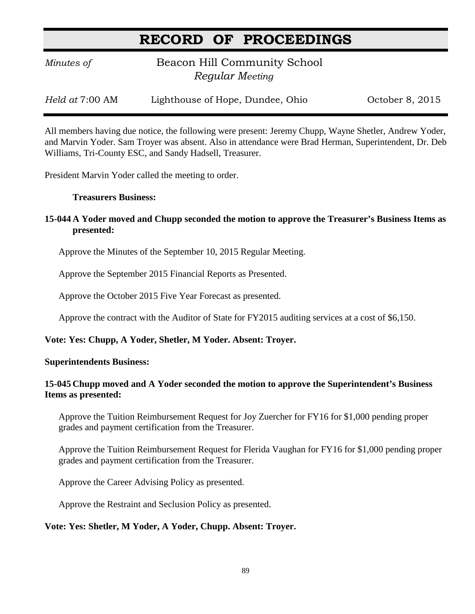# **RECORD OF PROCEEDINGS**

*Minutes of* **Beacon Hill Community School**  *Regular Meeting*

*Held at* 7:00 AM Lighthouse of Hope, Dundee, Ohio Corober 8, 2015

All members having due notice, the following were present: Jeremy Chupp, Wayne Shetler, Andrew Yoder, and Marvin Yoder. Sam Troyer was absent. Also in attendance were Brad Herman, Superintendent, Dr. Deb Williams, Tri-County ESC, and Sandy Hadsell, Treasurer.

President Marvin Yoder called the meeting to order.

#### **Treasurers Business:**

## **15-044 A Yoder moved and Chupp seconded the motion to approve the Treasurer's Business Items as presented:**

Approve the Minutes of the September 10, 2015 Regular Meeting.

Approve the September 2015 Financial Reports as Presented.

Approve the October 2015 Five Year Forecast as presented.

Approve the contract with the Auditor of State for FY2015 auditing services at a cost of \$6,150.

### **Vote: Yes: Chupp, A Yoder, Shetler, M Yoder. Absent: Troyer.**

### **Superintendents Business:**

### **15-045 Chupp moved and A Yoder seconded the motion to approve the Superintendent's Business Items as presented:**

Approve the Tuition Reimbursement Request for Joy Zuercher for FY16 for \$1,000 pending proper grades and payment certification from the Treasurer.

Approve the Tuition Reimbursement Request for Flerida Vaughan for FY16 for \$1,000 pending proper grades and payment certification from the Treasurer.

Approve the Career Advising Policy as presented.

Approve the Restraint and Seclusion Policy as presented.

### **Vote: Yes: Shetler, M Yoder, A Yoder, Chupp. Absent: Troyer.**